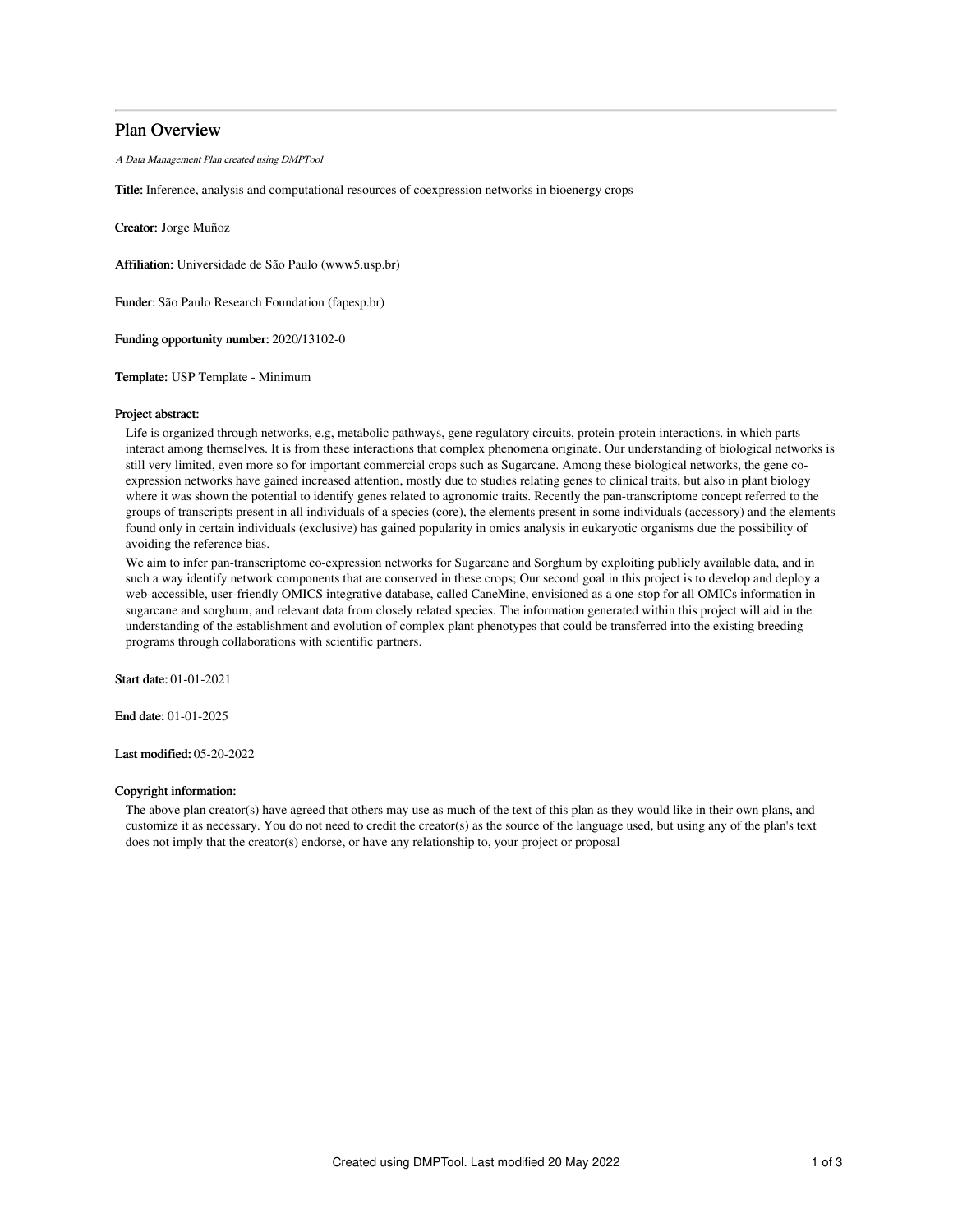## Plan Overview

A Data Management Plan created using DMPTool

Title: Inference, analysis and computational resources of coexpression networks in bioenergy crops

Creator: Jorge Muñoz

Affiliation: Universidade de São Paulo (www5.usp.br)

Funder: São Paulo Research Foundation (fapesp.br)

Funding opportunity number: 2020/13102-0

Template: USP Template - Minimum

### Project abstract:

Life is organized through networks, e.g, metabolic pathways, gene regulatory circuits, protein-protein interactions. in which parts interact among themselves. It is from these interactions that complex phenomena originate. Our understanding of biological networks is still very limited, even more so for important commercial crops such as Sugarcane. Among these biological networks, the gene coexpression networks have gained increased attention, mostly due to studies relating genes to clinical traits, but also in plant biology where it was shown the potential to identify genes related to agronomic traits. Recently the pan-transcriptome concept referred to the groups of transcripts present in all individuals of a species (core), the elements present in some individuals (accessory) and the elements found only in certain individuals (exclusive) has gained popularity in omics analysis in eukaryotic organisms due the possibility of avoiding the reference bias.

We aim to infer pan-transcriptome co-expression networks for Sugarcane and Sorghum by exploiting publicly available data, and in such a way identify network components that are conserved in these crops; Our second goal in this project is to develop and deploy a web-accessible, user-friendly OMICS integrative database, called CaneMine, envisioned as a one-stop for all OMICs information in sugarcane and sorghum, and relevant data from closely related species. The information generated within this project will aid in the understanding of the establishment and evolution of complex plant phenotypes that could be transferred into the existing breeding programs through collaborations with scientific partners.

Start date: 01-01-2021

End date: 01-01-2025

Last modified: 05-20-2022

#### Copyright information:

The above plan creator(s) have agreed that others may use as much of the text of this plan as they would like in their own plans, and customize it as necessary. You do not need to credit the creator(s) as the source of the language used, but using any of the plan's text does not imply that the creator(s) endorse, or have any relationship to, your project or proposal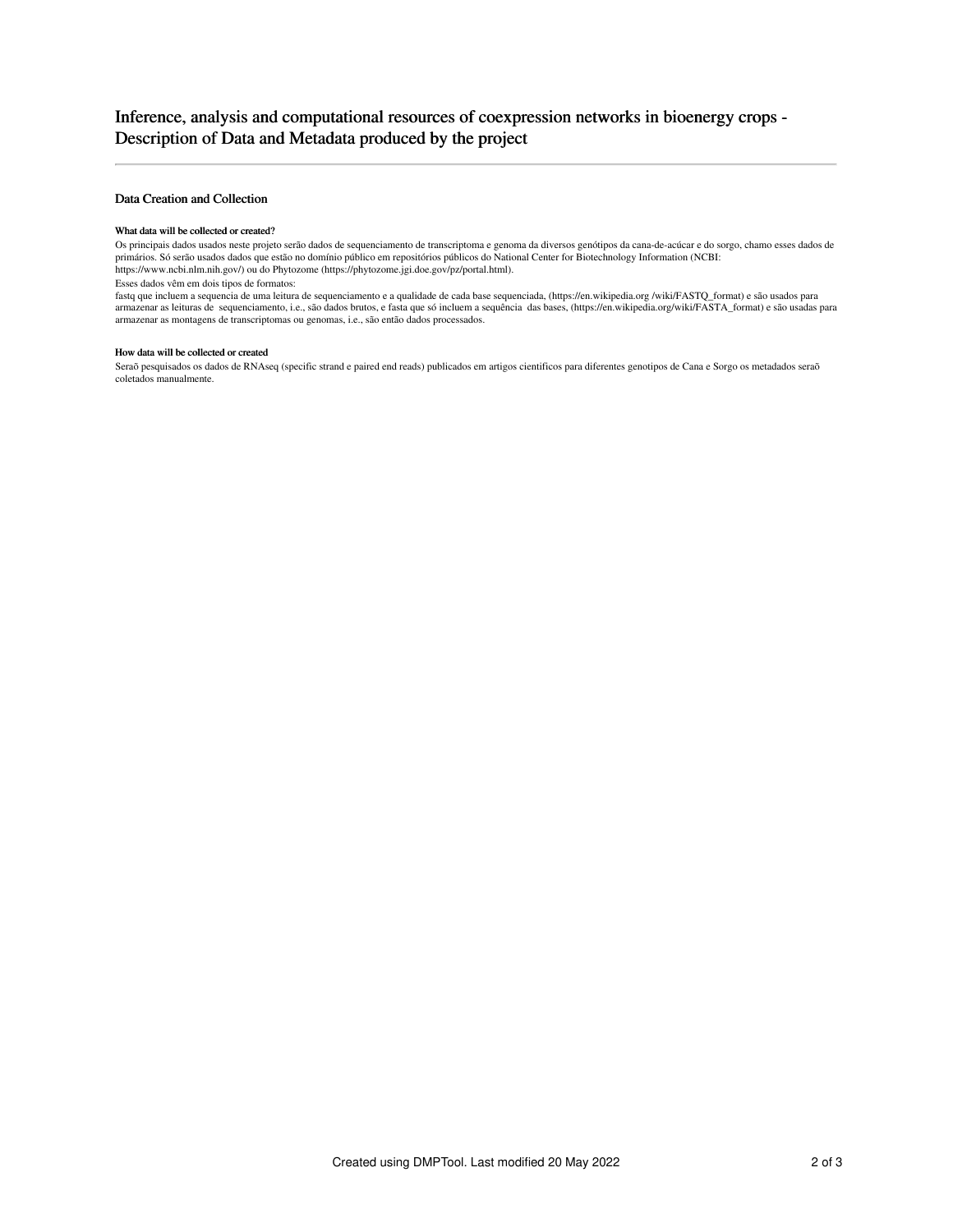## Data Creation and Collection

#### What data will be collected or created?

Os principais dados usados neste projeto serão dados de sequenciamento de transcriptoma e genoma da diversos genótipos da cana-de-acúcar e do sorgo, chamo esses dados de primários. Só serão usados dados que estão no domínio público em repositórios públicos do National Center for Biotechnology Information (NCBI: https://www.ncbi.nlm.nih.gov/) ou do Phytozome (https://phytozome.jgi.doe.gov/pz/portal.html).

Esses dados vêm em dois tipos de formatos:

fastq que incluem a sequencia de uma leitura de sequenciamento e a qualidade de cada base sequenciada, (https://en.wikipedia.org /wiki/FASTQ\_format) e são usados para armazenar as leituras de sequenciamento, i.e., são dados brutos, e fasta que só incluem a sequência das bases, (https://en.wikipedia.org/wiki/FASTA\_format) e são usadas para armazenar as montagens de transcriptomas ou genomas, i.e., são então dados processados.

### How data will be collected or created

Seraõ pesquisados os dados de RNAseq (specific strand e paired end reads) publicados em artigos cientificos para diferentes genotipos de Cana e Sorgo os metadados seraõ coletados manualmente.